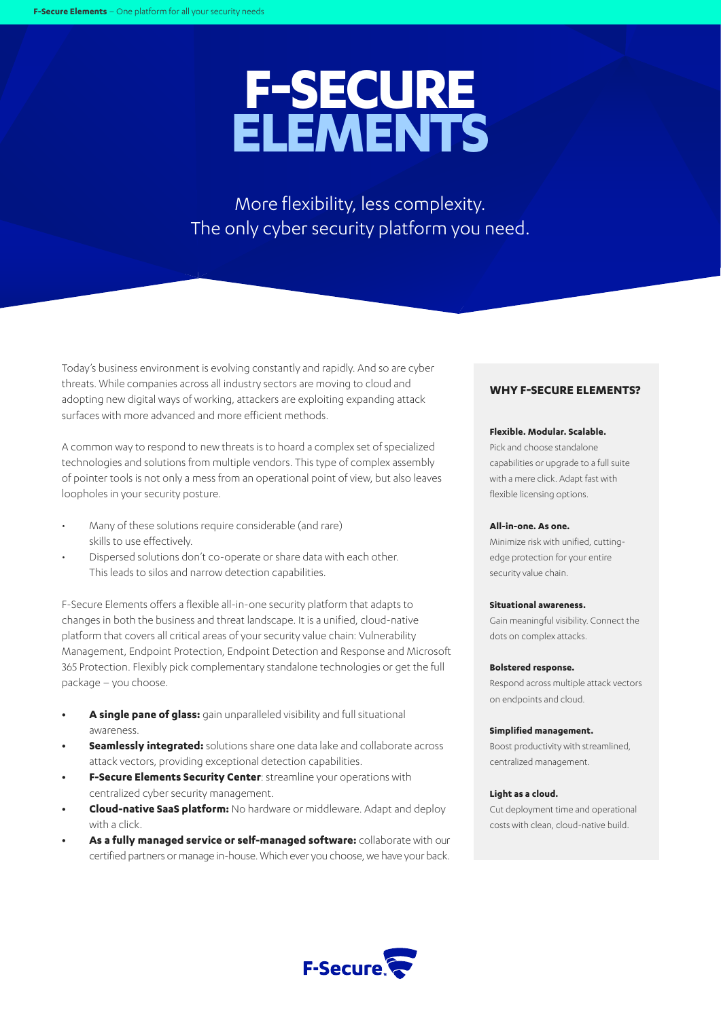# **F-SECURE ELEMENTS**

More flexibility, less complexity. The only cyber security platform you need.

Today's business environment is evolving constantly and rapidly. And so are cyber threats. While companies across all industry sectors are moving to cloud and adopting new digital ways of working, attackers are exploiting expanding attack surfaces with more advanced and more efficient methods.

A common way to respond to new threats is to hoard a complex set of specialized technologies and solutions from multiple vendors. This type of complex assembly of pointer tools is not only a mess from an operational point of view, but also leaves loopholes in your security posture.

- Many of these solutions require considerable (and rare) skills to use effectively.
- Dispersed solutions don't co-operate or share data with each other. This leads to silos and narrow detection capabilities.

F-Secure Elements offers a flexible all-in-one security platform that adapts to changes in both the business and threat landscape. It is a unified, cloud-native platform that covers all critical areas of your security value chain: Vulnerability Management, Endpoint Protection, Endpoint Detection and Response and Microsoft 365 Protection. Flexibly pick complementary standalone technologies or get the full package – you choose.

- **• A single pane of glass:** gain unparalleled visibility and full situational awareness.
- **• Seamlessly integrated:** solutions share one data lake and collaborate across attack vectors, providing exceptional detection capabilities.
- **• F-Secure Elements Security Center**: streamline your operations with centralized cyber security management.
- **• Cloud-native SaaS platform:** No hardware or middleware. Adapt and deploy with a click.
- **• As a fully managed service or self-managed software:** collaborate with our certified partners or manage in-house. Which ever you choose, we have your back.

### **WHY F-SECURE ELEMENTS?**

### **Flexible. Modular. Scalable.**

Pick and choose standalone capabilities or upgrade to a full suite with a mere click. Adapt fast with flexible licensing options.

#### **All-in-one. As one.**

Minimize risk with unified, cuttingedge protection for your entire security value chain.

### **Situational awareness.**

Gain meaningful visibility. Connect the dots on complex attacks.

#### **Bolstered response.**

Respond across multiple attack vectors on endpoints and cloud.

#### **Simplified management.**

Boost productivity with streamlined, centralized management.

### **Light as a cloud.**

Cut deployment time and operational costs with clean, cloud-native build.

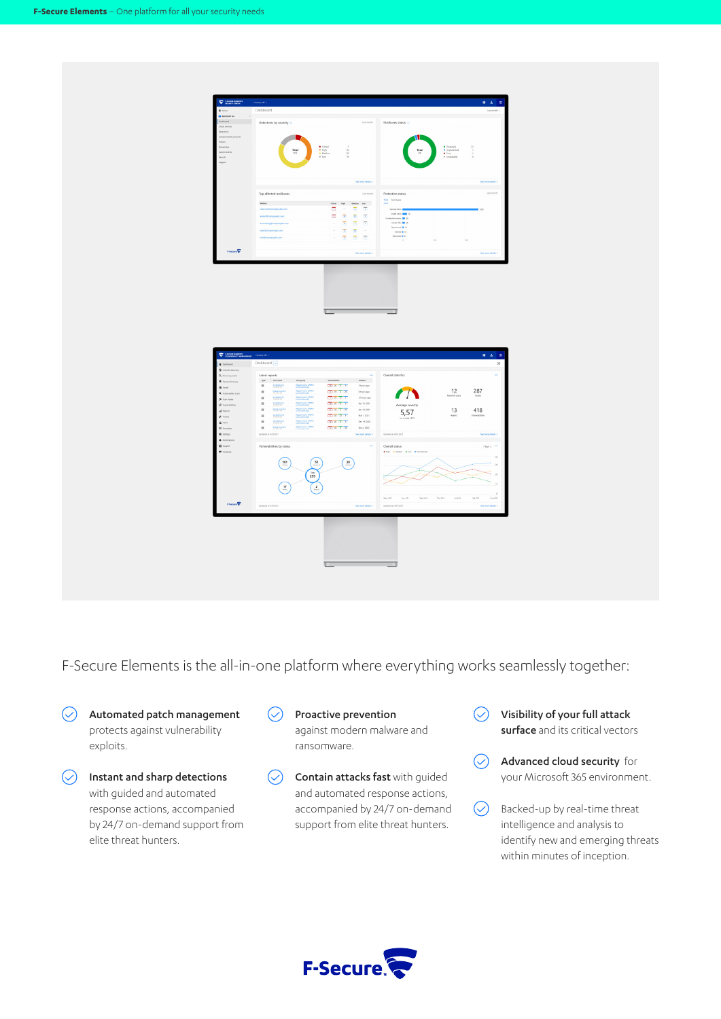

F-Secure Elements is the all-in-one platform where everything works seamlessly together:

- $\odot$ Automated patch management protects against vulnerability exploits.
- $\circledcirc$  Instant and sharp detections with guided and automated response actions, accompanied by 24/7 on-demand support from elite threat hunters.
- $\curvearrowright$ Proactive prevention against modern malware and ransomware.
- Contain attacks fast with guided  $\circlearrowright$ and automated response actions, accompanied by 24/7 on-demand support from elite threat hunters.
- Visibility of your full attack  $\circlearrowright$ surface and its critical vectors
- $\odot$ Advanced cloud security for your Microsoft 365 environment.
- $\circlearrowright$ Backed-up by real-time threat intelligence and analysis to identify new and emerging threats within minutes of inception.

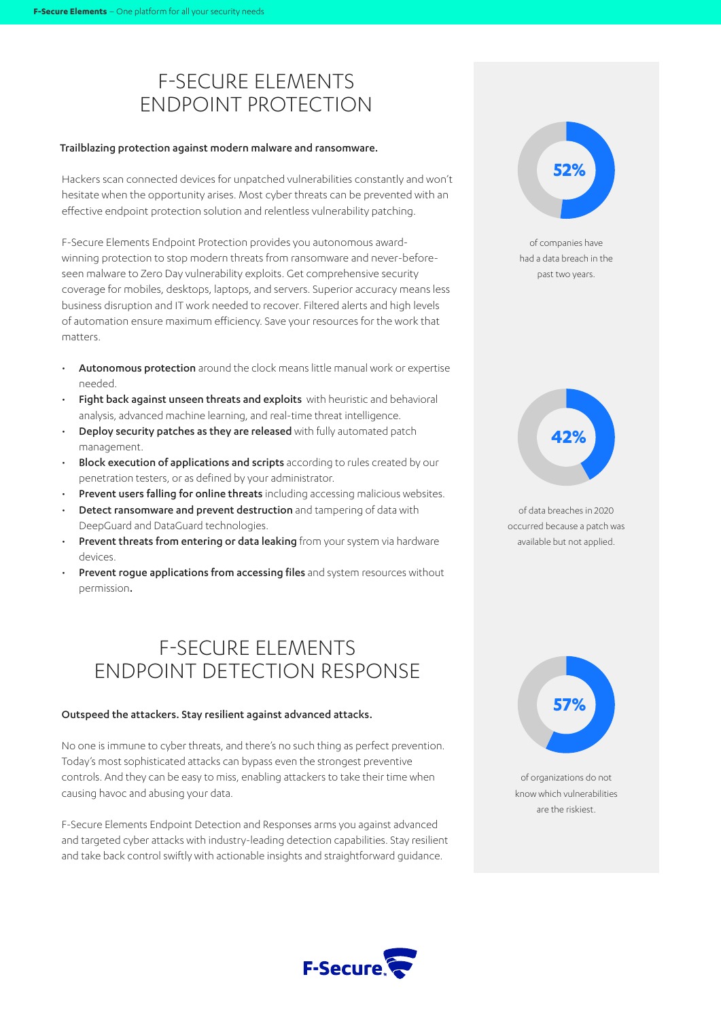# F-SECURE ELEMENTS ENDPOINT PROTECTION

### Trailblazing protection against modern malware and ransomware.

Hackers scan connected devices for unpatched vulnerabilities constantly and won't hesitate when the opportunity arises. Most cyber threats can be prevented with an effective endpoint protection solution and relentless vulnerability patching.

F-Secure Elements Endpoint Protection provides you autonomous awardwinning protection to stop modern threats from ransomware and never-beforeseen malware to Zero Day vulnerability exploits. Get comprehensive security coverage for mobiles, desktops, laptops, and servers. Superior accuracy means less business disruption and IT work needed to recover. Filtered alerts and high levels of automation ensure maximum efficiency. Save your resources for the work that matters.

- Autonomous protection around the clock means little manual work or expertise needed.
- Fight back against unseen threats and exploits with heuristic and behavioral analysis, advanced machine learning, and real-time threat intelligence.
- **Deploy security patches as they are released** with fully automated patch management.
- **Block execution of applications and scripts** according to rules created by our penetration testers, or as defined by your administrator.
- Prevent users falling for online threats including accessing malicious websites.
- Detect ransomware and prevent destruction and tampering of data with DeepGuard and DataGuard technologies.
- Prevent threats from entering or data leaking from your system via hardware devices.
- Prevent roque applications from accessing files and system resources without permission.

## F-SECURE ELEMENTS ENDPOINT DETECTION RESPONSE

### Outspeed the attackers. Stay resilient against advanced attacks.

No one is immune to cyber threats, and there's no such thing as perfect prevention. Today's most sophisticated attacks can bypass even the strongest preventive controls. And they can be easy to miss, enabling attackers to take their time when causing havoc and abusing your data.

F-Secure Elements Endpoint Detection and Responses arms you against advanced and targeted cyber attacks with industry-leading detection capabilities. Stay resilient and take back control swiftly with actionable insights and straightforward guidance.





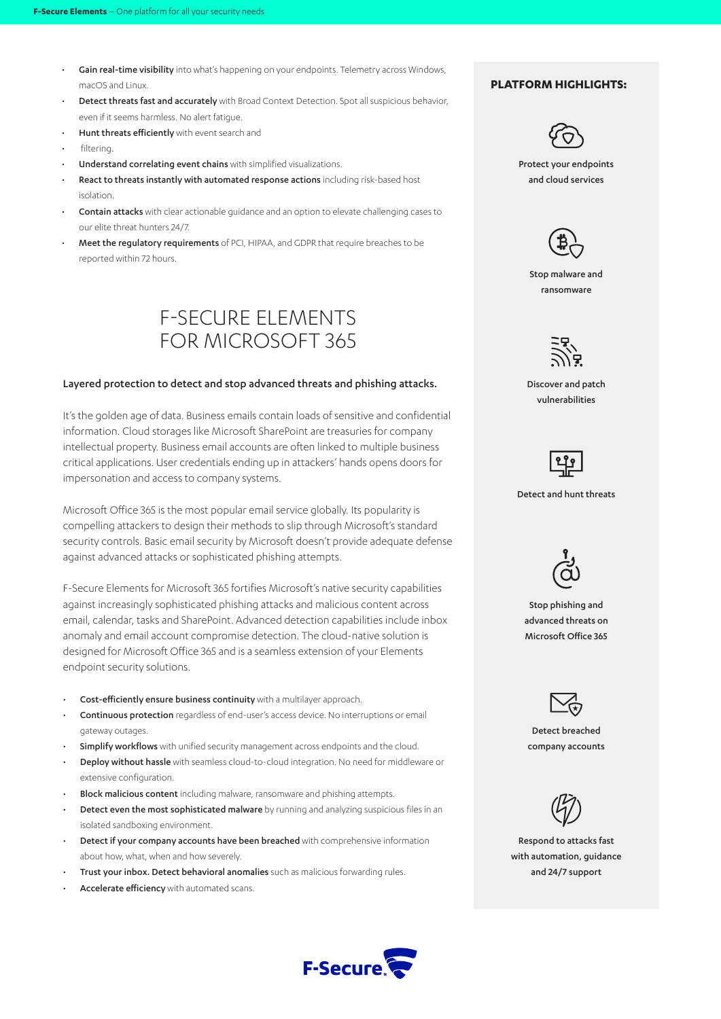- Gain real-time visibility into what's happening on your endpoints. Telemetry across Windows, macOS and Linux.
- **Detect threats fast and accurately** with Broad Context Detection. Spot all suspicious behavior, even if it seems harmless. No alert fatigue.
- Hunt threats efficiently with event search and
- filtering.
- Understand correlating event chains with simplified visualizations.
- React to threats instantly with automated response actions including risk-based host isolation.
- Contain attacks with clear actionable guidance and an option to elevate challenging cases to our elite threat hunters 24/7.
- Meet the regulatory requirements of PCI, HIPAA, and GDPR that require breaches to be reported within 72 hours.



### Layered protection to detect and stop advanced threats and phishing attacks.

It's the golden age of data. Business emails contain loads of sensitive and confidential information. Cloud storages like Microsoft SharePoint are treasuries for company intellectual property. Business email accounts are often linked to multiple business critical applications. User credentials ending up in attackers' hands opens doors for impersonation and access to company systems.

Microsoft Office 365 is the most popular email service globally. Its popularity is compelling attackers to design their methods to slip through Microsoft's standard security controls. Basic email security by Microsoft doesn't provide adequate defense against advanced attacks or sophisticated phishing attempts.

F-Secure Elements for Microsoft 365 fortifies Microsoft's native security capabilities against increasingly sophisticated phishing attacks and malicious content across email, calendar, tasks and SharePoint. Advanced detection capabilities include inbox anomaly and email account compromise detection. The cloud-native solution is designed for Microsoft Office 365 and is a seamless extension of your Elements endpoint security solutions.

- Cost-efficiently ensure business continuity with a multilayer approach.
- Continuous protection regardless of end-user's access device. No interruptions or email gateway outages.
- Simplify workflows with unified security management across endpoints and the cloud.
- Deploy without hassle with seamless cloud-to-cloud integration. No need for middleware or extensive configuration.
- **Block malicious content** including malware, ransomware and phishing attempts.
- Detect even the most sophisticated malware by running and analyzing suspicious files in an isolated sandboxing environment.
- Detect if your company accounts have been breached with comprehensive information about how, what, when and how severely.
- Trust your inbox. Detect behavioral anomalies such as malicious forwarding rules.
- Accelerate efficiency with automated scans.

### **PLATFORM HIGHLIGHTS:**



Protect your endpoints and cloud services



Stop malware and ransomware

ミンコ

Discover and patch vulnerabilities



Detect and hunt threats



Stop phishing and advanced threats on Microsoft Office 365



Detect breached company accounts



Respond to attacks fast with automation, guidance and 24/7 support